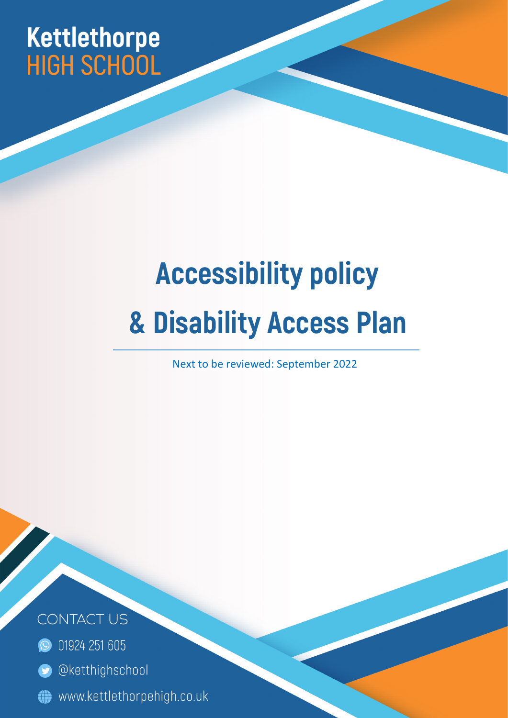# Kettlethorpe<br>HIGH SCHOOL

## **Accessibility policy & Disability Access Plan**

Next to be reviewed: September 2022

Page | 1



- **C** 01924 251 605
- @ketthighschool  $\bullet$
- www.kettlethorpehigh.co.uk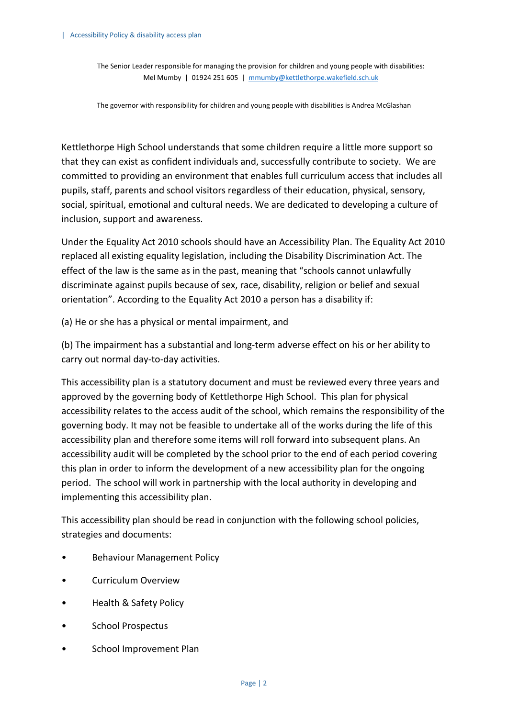The Senior Leader responsible for managing the provision for children and young people with disabilities: Mel Mumby | 01924 251 605 | mmumby@kettlethorpe.wakefield.sch.uk

The governor with responsibility for children and young people with disabilities is Andrea McGlashan

Kettlethorpe High School understands that some children require a little more support so that they can exist as confident individuals and, successfully contribute to society. We are committed to providing an environment that enables full curriculum access that includes all pupils, staff, parents and school visitors regardless of their education, physical, sensory, social, spiritual, emotional and cultural needs. We are dedicated to developing a culture of inclusion, support and awareness.

Under the Equality Act 2010 schools should have an Accessibility Plan. The Equality Act 2010 replaced all existing equality legislation, including the Disability Discrimination Act. The effect of the law is the same as in the past, meaning that "schools cannot unlawfully discriminate against pupils because of sex, race, disability, religion or belief and sexual orientation". According to the Equality Act 2010 a person has a disability if:

(a) He or she has a physical or mental impairment, and

(b) The impairment has a substantial and long-term adverse effect on his or her ability to carry out normal day-to-day activities.

This accessibility plan is a statutory document and must be reviewed every three years and approved by the governing body of Kettlethorpe High School. This plan for physical accessibility relates to the access audit of the school, which remains the responsibility of the governing body. It may not be feasible to undertake all of the works during the life of this accessibility plan and therefore some items will roll forward into subsequent plans. An accessibility audit will be completed by the school prior to the end of each period covering this plan in order to inform the development of a new accessibility plan for the ongoing period. The school will work in partnership with the local authority in developing and implementing this accessibility plan.

This accessibility plan should be read in conjunction with the following school policies, strategies and documents:

- Behaviour Management Policy
- Curriculum Overview
- Health & Safety Policy
- School Prospectus
- School Improvement Plan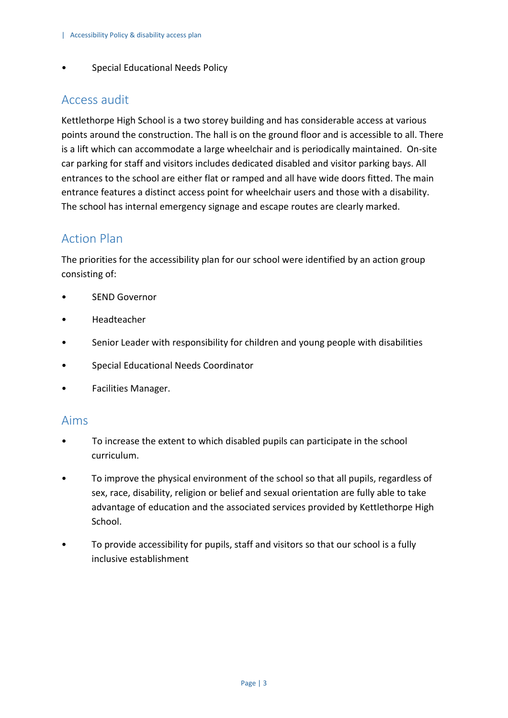• Special Educational Needs Policy

#### Access audit

Kettlethorpe High School is a two storey building and has considerable access at various points around the construction. The hall is on the ground floor and is accessible to all. There is a lift which can accommodate a large wheelchair and is periodically maintained. On-site car parking for staff and visitors includes dedicated disabled and visitor parking bays. All entrances to the school are either flat or ramped and all have wide doors fitted. The main entrance features a distinct access point for wheelchair users and those with a disability. The school has internal emergency signage and escape routes are clearly marked.

### Action Plan

The priorities for the accessibility plan for our school were identified by an action group consisting of:

- SEND Governor
- Headteacher
- Senior Leader with responsibility for children and young people with disabilities
- Special Educational Needs Coordinator
- Facilities Manager.

#### Aims

- To increase the extent to which disabled pupils can participate in the school curriculum.
- To improve the physical environment of the school so that all pupils, regardless of sex, race, disability, religion or belief and sexual orientation are fully able to take advantage of education and the associated services provided by Kettlethorpe High School.
- To provide accessibility for pupils, staff and visitors so that our school is a fully inclusive establishment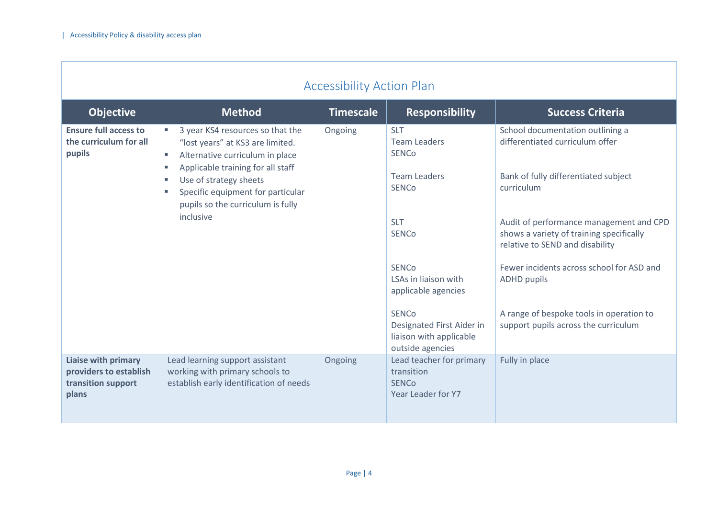-F

| <b>Accessibility Action Plan</b>                                                                                                                                                                                                                                                                                          |                                                                                                               |                                     |                                                                                          |                                                                                                                        |  |
|---------------------------------------------------------------------------------------------------------------------------------------------------------------------------------------------------------------------------------------------------------------------------------------------------------------------------|---------------------------------------------------------------------------------------------------------------|-------------------------------------|------------------------------------------------------------------------------------------|------------------------------------------------------------------------------------------------------------------------|--|
| <b>Objective</b>                                                                                                                                                                                                                                                                                                          | <b>Method</b>                                                                                                 | <b>Timescale</b>                    | <b>Responsibility</b>                                                                    | <b>Success Criteria</b>                                                                                                |  |
| <b>Ensure full access to</b><br>3 year KS4 resources so that the<br>the curriculum for all<br>"lost years" at KS3 are limited.<br>pupils<br>Alternative curriculum in place<br>п<br>Applicable training for all staff<br>Use of strategy sheets<br>Specific equipment for particular<br>pupils so the curriculum is fully |                                                                                                               | Ongoing                             | <b>SLT</b><br><b>Team Leaders</b><br><b>SENCo</b>                                        | School documentation outlining a<br>differentiated curriculum offer                                                    |  |
|                                                                                                                                                                                                                                                                                                                           |                                                                                                               | <b>Team Leaders</b><br><b>SENCo</b> | Bank of fully differentiated subject<br>curriculum                                       |                                                                                                                        |  |
|                                                                                                                                                                                                                                                                                                                           | inclusive                                                                                                     |                                     | <b>SLT</b><br><b>SENCo</b>                                                               | Audit of performance management and CPD<br>shows a variety of training specifically<br>relative to SEND and disability |  |
|                                                                                                                                                                                                                                                                                                                           |                                                                                                               |                                     | <b>SENCo</b><br>LSAs in liaison with<br>applicable agencies                              | Fewer incidents across school for ASD and<br><b>ADHD pupils</b>                                                        |  |
|                                                                                                                                                                                                                                                                                                                           |                                                                                                               |                                     | <b>SENCo</b><br>Designated First Aider in<br>liaison with applicable<br>outside agencies | A range of bespoke tools in operation to<br>support pupils across the curriculum                                       |  |
| Liaise with primary<br>providers to establish<br>transition support<br>plans                                                                                                                                                                                                                                              | Lead learning support assistant<br>working with primary schools to<br>establish early identification of needs | Ongoing                             | Lead teacher for primary<br>transition<br><b>SENCo</b><br>Year Leader for Y7             | Fully in place                                                                                                         |  |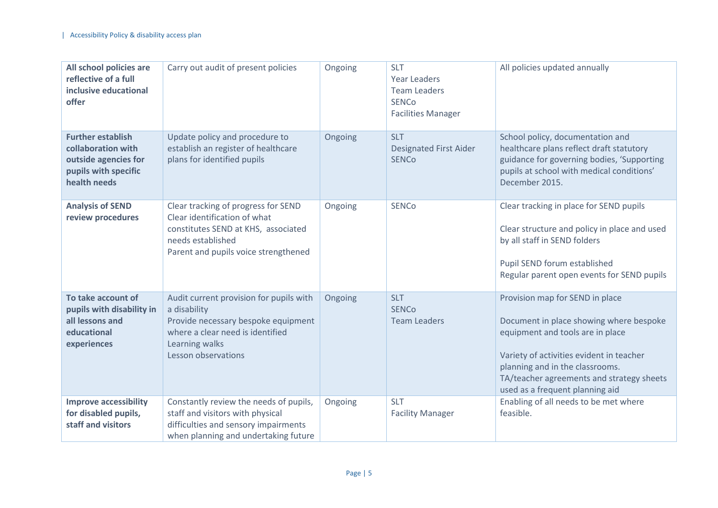| All school policies are<br>reflective of a full<br>inclusive educational<br>offer                              | Carry out audit of present policies                                                                                                                                         | Ongoing | <b>SLT</b><br><b>Year Leaders</b><br><b>Team Leaders</b><br><b>SENCo</b><br><b>Facilities Manager</b> | All policies updated annually                                                                                                                                                                                                                                                 |
|----------------------------------------------------------------------------------------------------------------|-----------------------------------------------------------------------------------------------------------------------------------------------------------------------------|---------|-------------------------------------------------------------------------------------------------------|-------------------------------------------------------------------------------------------------------------------------------------------------------------------------------------------------------------------------------------------------------------------------------|
| <b>Further establish</b><br>collaboration with<br>outside agencies for<br>pupils with specific<br>health needs | Update policy and procedure to<br>establish an register of healthcare<br>plans for identified pupils                                                                        | Ongoing | <b>SLT</b><br><b>Designated First Aider</b><br><b>SENCo</b>                                           | School policy, documentation and<br>healthcare plans reflect draft statutory<br>guidance for governing bodies, 'Supporting<br>pupils at school with medical conditions'<br>December 2015.                                                                                     |
| <b>Analysis of SEND</b><br>review procedures                                                                   | Clear tracking of progress for SEND<br>Clear identification of what<br>constitutes SEND at KHS, associated<br>needs established<br>Parent and pupils voice strengthened     | Ongoing | <b>SENCo</b>                                                                                          | Clear tracking in place for SEND pupils<br>Clear structure and policy in place and used<br>by all staff in SEND folders<br>Pupil SEND forum established<br>Regular parent open events for SEND pupils                                                                         |
| To take account of<br>pupils with disability in<br>all lessons and<br>educational<br>experiences               | Audit current provision for pupils with<br>a disability<br>Provide necessary bespoke equipment<br>where a clear need is identified<br>Learning walks<br>Lesson observations | Ongoing | <b>SLT</b><br><b>SENCo</b><br><b>Team Leaders</b>                                                     | Provision map for SEND in place<br>Document in place showing where bespoke<br>equipment and tools are in place<br>Variety of activities evident in teacher<br>planning and in the classrooms.<br>TA/teacher agreements and strategy sheets<br>used as a frequent planning aid |
| <b>Improve accessibility</b><br>for disabled pupils,<br>staff and visitors                                     | Constantly review the needs of pupils,<br>staff and visitors with physical<br>difficulties and sensory impairments<br>when planning and undertaking future                  | Ongoing | <b>SLT</b><br><b>Facility Manager</b>                                                                 | Enabling of all needs to be met where<br>feasible.                                                                                                                                                                                                                            |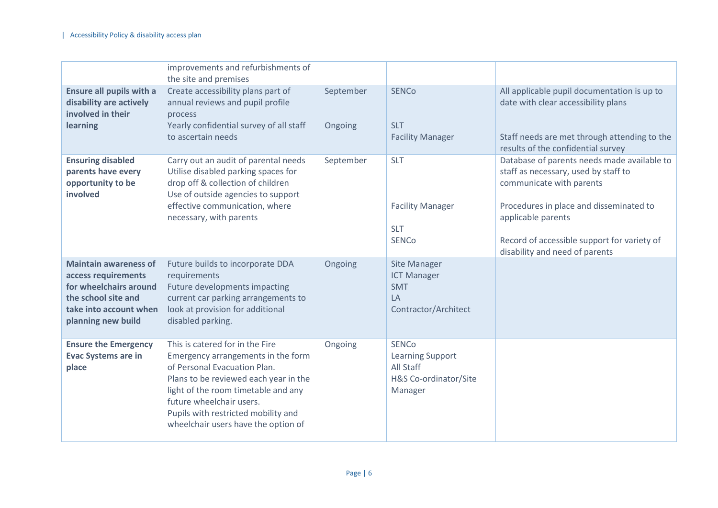|                                                                                                                                                      | improvements and refurbishments of<br>the site and premises                                                                                                                                                                                                                                     |                      |                                                                                          |                                                                                                                                                                                                                                                                   |
|------------------------------------------------------------------------------------------------------------------------------------------------------|-------------------------------------------------------------------------------------------------------------------------------------------------------------------------------------------------------------------------------------------------------------------------------------------------|----------------------|------------------------------------------------------------------------------------------|-------------------------------------------------------------------------------------------------------------------------------------------------------------------------------------------------------------------------------------------------------------------|
| <b>Ensure all pupils with a</b><br>disability are actively<br>involved in their<br>learning                                                          | Create accessibility plans part of<br>annual reviews and pupil profile<br>process<br>Yearly confidential survey of all staff<br>to ascertain needs                                                                                                                                              | September<br>Ongoing | <b>SENCo</b><br><b>SLT</b><br><b>Facility Manager</b>                                    | All applicable pupil documentation is up to<br>date with clear accessibility plans<br>Staff needs are met through attending to the<br>results of the confidential survey                                                                                          |
| <b>Ensuring disabled</b><br>parents have every<br>opportunity to be<br>involved                                                                      | Carry out an audit of parental needs<br>Utilise disabled parking spaces for<br>drop off & collection of children<br>Use of outside agencies to support<br>effective communication, where<br>necessary, with parents                                                                             | September            | <b>SLT</b><br><b>Facility Manager</b><br><b>SLT</b><br><b>SENCo</b>                      | Database of parents needs made available to<br>staff as necessary, used by staff to<br>communicate with parents<br>Procedures in place and disseminated to<br>applicable parents<br>Record of accessible support for variety of<br>disability and need of parents |
| <b>Maintain awareness of</b><br>access requirements<br>for wheelchairs around<br>the school site and<br>take into account when<br>planning new build | Future builds to incorporate DDA<br>requirements<br>Future developments impacting<br>current car parking arrangements to<br>look at provision for additional<br>disabled parking.                                                                                                               | Ongoing              | Site Manager<br><b>ICT Manager</b><br><b>SMT</b><br>LA<br>Contractor/Architect           |                                                                                                                                                                                                                                                                   |
| <b>Ensure the Emergency</b><br><b>Evac Systems are in</b><br>place                                                                                   | This is catered for in the Fire<br>Emergency arrangements in the form<br>of Personal Evacuation Plan.<br>Plans to be reviewed each year in the<br>light of the room timetable and any<br>future wheelchair users.<br>Pupils with restricted mobility and<br>wheelchair users have the option of | Ongoing              | <b>SENCo</b><br><b>Learning Support</b><br>All Staff<br>H&S Co-ordinator/Site<br>Manager |                                                                                                                                                                                                                                                                   |